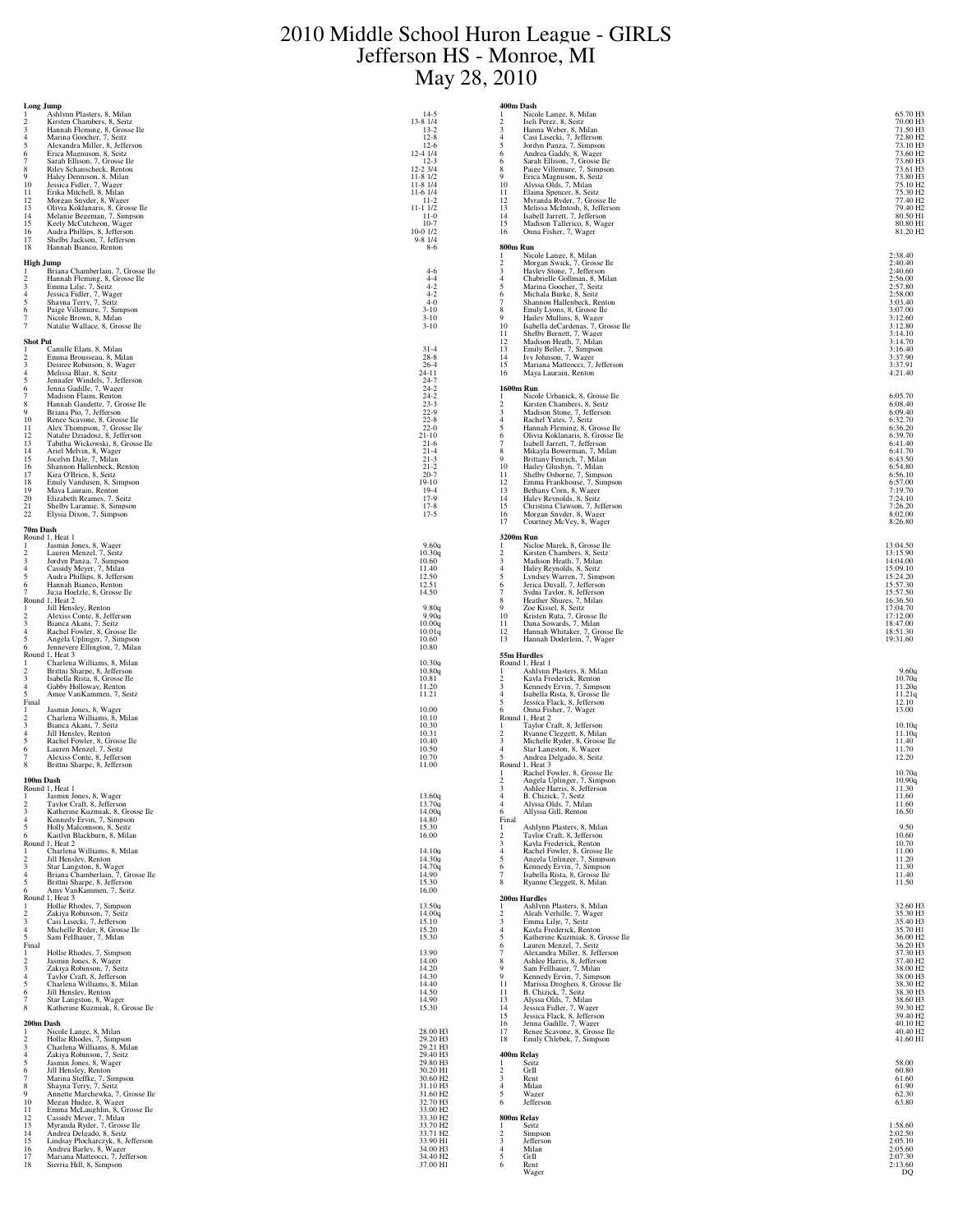## 2010 Middle School Huron League - GIRLS Jefferson HS - Monroe, MI May 28, 2010

| Long Jump<br>Ashlynn Plasters, 8, Milan                                                  | $14-5$                                       | 400m Dash<br>Nicole Lange, 8, Milan<br>-1                                            | 65.70 H3                                     |
|------------------------------------------------------------------------------------------|----------------------------------------------|--------------------------------------------------------------------------------------|----------------------------------------------|
| Kirsten Chambers, 8, Seitz                                                               | 13-8 1/4                                     | Iseli Perez, 8, Seitz<br>$\overline{\mathbf{c}}$                                     | 70.00 H3                                     |
| Hannah Fleming, 8, Grosse Ile<br>3<br>$\overline{4}$<br>Marina Goocher, 7, Seitz         | $13 - 2$<br>$12-8$                           | Hanna Weber, 8, Milan<br>3<br>Casi Lisecki, 7, Jefferson<br>$\overline{4}$           | 71.50 H3<br>72.80 H <sub>2</sub>             |
| Alexandra Miller, 8, Jefferson<br>5<br>Erica Magnuson. 8. Seitz                          | $12-6$                                       | 5<br>Jordyn Panza, 7, Simpson                                                        | 73.10 H3                                     |
| 6<br>Sarah Ellison, 7, Grosse Ile                                                        | 12-4 1/4<br>$12-3$                           | Andrea Gaddy. 8. Wager<br>6<br>Sarah Ellison, 7, Grosse Ile<br>6                     | 73.60 H <sub>2</sub><br>73.60 H <sub>3</sub> |
| Riley Schanscheck, Renton<br>8<br>Haley Dennison, 8, Milan<br>9                          | 12-2 3/4<br>$11-8$ $1/2$                     | Paige Villemure, 7, Simpson<br>8<br>Erica Magnuson, 8, Seitz<br>9                    | 73.61 H3<br>73.80 H3                         |
| 10<br>Jessica Fidler, 7, Wager<br>Erika Mitchell, 8, Milan<br>11                         | $11-8$ $1/4$<br>$11-6$ $1/4$                 | 10<br>Alyssa Olds, 7, Milan<br>Elaina Spencer, 8, Seitz<br>11                        | 75.10 H <sub>2</sub>                         |
| 12<br>Morgan Snyder, 8, Wager                                                            | $11 - 2$                                     | 12<br>Myranda Ryder, 7, Grosse Ile                                                   | 75.30 H <sub>2</sub><br>77.40 H <sub>2</sub> |
| 13<br>Olivia Koklanaris, 8, Grosse Ile<br>14<br>Melanie Begeman, 7, Simpson              | $11 - 11/2$<br>$11-0$                        | 13<br>Melissa McIntosh, 8, Jefferson<br>14<br>Isabell Jarrett, 7, Jefferson          | 79.40 H <sub>2</sub><br>80.50 H1             |
| 15<br>Keely McCutcheon, Wager                                                            | $10-7$                                       | 15<br>Madison Tallerico, 8, Wager                                                    | 80.80 H1                                     |
| Audra Phillips, 8, Jefferson<br>16<br>17<br>Shelby Jackson, 7, Jefferson                 | $10-0$ $1/2$<br>$9 - 81/4$                   | 16<br>Onna Fisher, 7, Wager                                                          | 81.20 H <sub>2</sub>                         |
| 18<br>Hannah Bianco, Renton                                                              | $8-6$                                        | 800m Run<br>Nicole Lange, 8, Milan                                                   | 2:38.40                                      |
| High Jump<br>Briana Chamberlain, 7, Grosse Ile                                           |                                              | Morgan Swick, 7, Grosse Ile<br>$\mathcal{D}$<br>3                                    | 2:40.40                                      |
| Hannah Fleming, 8, Grosse Ile<br>$\mathcal{D}$                                           | $4-6$<br>$4 - 4$                             | Hayley Stone, 7, Jefferson<br>Chabrielle Gollman, 8, Milan<br>$\overline{4}$         | 2:40.60<br>2:56.00                           |
| Emma Lilje, 7, Seitz<br>$\overline{4}$<br>Jessica Fidler, 7, Wager                       | $4 - 2$<br>$4 - 2$                           | $\overline{5}$<br>Marina Goocher, 7, Seitz<br>6<br>Michala Burke, 8, Seitz           | 2:57.80<br>2:58.00                           |
| Shavna Terry, 7, Seitz<br>5                                                              | $4 - 0$                                      | Shannon Hallenbeck, Renton<br>$\overline{7}$                                         | 3:03.40                                      |
| 6<br>Paige Villemure, 7, Simpson<br>Nicole Brown, 8, Milan                               | $3 - 10$<br>$3 - 10$                         | 8<br>Emily Lyons, 8, Grosse Ile<br>9<br>Hailey Mullins, 8, Wager                     | 3:07.00<br>3:12.60                           |
| Natalie Wallace, 8, Grosse Ile                                                           | $3 - 10$                                     | 10<br>Isabella deCardenas, 7, Grosse Ile<br>11                                       | 3:12.80<br>3:14.10                           |
| <b>Shot Put</b>                                                                          |                                              | Shelby Bernett, 7, Wager<br>Madison Heath, 7, Milan<br>12                            | 3:14.70                                      |
| Camille Elam. 8. Milan<br>Emma Brousseau, 8, Milan<br>2                                  | $31 - 4$<br>$28-8$                           | 13<br>Emily Beller. 7. Simpson<br>14<br>Ivy Johnson, 7, Wager                        | 3:16.40<br>3:37.90                           |
| 3<br>Desiree Robinson, 8, Wager<br>Melissa Blair, 8, Seitz<br>$\overline{4}$             | $26 - 4$<br>$24 - 11$                        | 15<br>Mariana Matteocci, 7, Jefferson<br>Maya Laurain, Renton<br>16                  | 3:37.91<br>4:21.40                           |
| Jennafer Windels, 7, Jefferson<br>5                                                      | $24 - 7$                                     |                                                                                      |                                              |
| Jenna Gadille, 7, Wager<br>6<br>Madison Flaim, Renton                                    | $24 - 2$<br>$24-2$<br>23-3                   | <b>1600m Run</b><br>Nicole Urbanick, 8, Grosse Ile<br>-1                             | 6:05.70                                      |
| Hannah Gaudette, 7, Grosse Ile<br>8<br>Briana Pio, 7, Jefferson                          | $22 - 9$                                     | Kirsten Chambers, 8, Seitz<br>$\overline{\mathbf{c}}$<br>$\overline{\mathbf{3}}$     | 6:08.40<br>6:09.40                           |
| 10<br>Renee Scavone, 8, Grosse Ile                                                       | $22 - 8$                                     | Madison Stone, 7, Jefferson<br>Rachel Yates, 7, Seitz<br>$\overline{4}$              | 6:32.70                                      |
| 11<br>Alex Thompson, 7, Grosse Ile<br>12<br>Natalie Dziadosz, 8, Jefferson               | $22 - 0$<br>$21 - 10$                        | 5<br>Hannah Fleming, 8, Grosse Ile<br>Olivia Koklanaris, 8, Grosse Ile<br>6          | 6:36.20<br>6:39.70                           |
| 13<br>Tabitha Wickowski, 8, Grosse Ile<br>14<br>Ariel Melvin, 8, Wager                   | $21-6$<br>$21 - 4$                           | Isabell Jarrett, 7, Jefferson<br>7<br>8<br>Mikayla Bowerman, 7, Milan                | 6:41.40<br>6:41.70                           |
| Jocelyn Dale, 7, Milan<br>15                                                             | $21 - 3$                                     | 9<br>Brittany Fenrich, 7, Milan                                                      | 6:43.50                                      |
| 16<br>Shannon Hallenbeck, Renton<br>Kira O'Brien, 8, Seitz<br>17                         | $21 - 2$<br>$20 - 7$                         | 10<br>Hailey Glushyn, 7, Milan<br>Shelby Osborne, 7, Simpson<br>11                   | 6:54.80<br>6:56.10                           |
| Emily Vandusen, 8, Simpson<br>18<br>19<br>Maya Laurain, Renton                           | $19 - 10$<br>$19-4$                          | Emma Frankhouse, 7, Simpson<br>$^{12}_{13}$<br>Bethany Corn, 8, Wager                | 6:57.00<br>7:19.70                           |
| 20<br>Elizabeth Reames, 7, Seitz                                                         | $17-9$                                       | Haley Reynolds, 8, Seitz<br>14                                                       | 7:24.10                                      |
| 21<br>Shelby Laramie, 8, Simpson<br>22<br>Elysia Dixon, 7, Simpson                       | $17-8$<br>$17-5$                             | 15<br>Christina Clawson, 7, Jefferson<br>16<br>Morgan Snyder, 8, Wager               | 7:26.20<br>8:02.00                           |
| 70m Dash                                                                                 |                                              | 17<br>Courtney McVey, 8, Wager                                                       | 8:26.80                                      |
| Round 1, Heat 1<br>Jasmin Jones, 8, Wager                                                |                                              | 3200m Run<br>Nicloe Marek, 8, Grosse Ile                                             |                                              |
| Lauren Menzel, 7, Seitz<br>2                                                             | 9.60a<br>10.30q                              | -1<br>Kirsten Chambers, 8, Seitz<br>$\mathfrak{D}$                                   | 13:04.50<br>13:15.90                         |
| 3<br>Jordyn Panza, 7, Simpson<br>Cassidy Meyer, 7, Milan<br>$\overline{4}$               | 10.60<br>11.40                               | 3<br>Madison Heath, 7, Milan<br>Haley Reynolds, 8, Seitz<br>$\overline{4}$           | 14:04.00<br>15:09.10                         |
| 5<br>Audra Phillips, 8, Jefferson                                                        | 12.50                                        | 5<br>Lyndsey Warren, 7, Simpson                                                      | 15:24.20                                     |
| Hannah Bianco, Renton<br>6<br>Ju;ia Hoelzle, 8, Grosse Ile                               | 12.51<br>14.50                               | Jerica Duvall, 7, Jefferson<br>6<br>Sydni Taylor, 8, Jefferson<br>7                  | 15:57.30<br>15:57.50                         |
| Round 1, Heat 2<br>Jill Hensley, Renton                                                  | 9.80q                                        | Heather Shures, 7, Milan<br>8<br>9<br>Zoe Kissel, 8, Seitz                           | 16:36.50<br>17:04.70                         |
| Alexiss Conte, 8, Jefferson                                                              | 9.90q                                        | 10<br>Kristen Ruta, 7, Grosse Ile                                                    | 17:12.00                                     |
| Bianca Akani, 7, Seitz<br>$\overline{4}$<br>Rachel Fowler, 8, Grosse Ile                 | 10.00q<br>10.01q                             | Dana Sowards, 7, Milan<br>11<br>12<br>Hannah Whitaker, 7, Grosse Ile                 | 18:47.00<br>18:51.30                         |
| Angela Uplinger, 7, Simpson<br>5<br>Jennevere Ellington, 7, Milan<br>6                   | 10.60<br>10.80                               | 13<br>Hannah Doderlein, 7, Wager                                                     | 19:31.60                                     |
| Round 1, Heat 3<br>Charlena Williams, 8, Milan                                           | 10.30q                                       | 55m Hurdles<br>Round 1, Heat 1                                                       |                                              |
| Brittni Sharpe, 8, Jefferson<br>$\mathcal{D}$                                            | 10.80q                                       | Ashlynn Plasters, 8, Milan                                                           | 9.60q                                        |
| Isabella Rista, 8, Grosse Ile<br>3<br>$\overline{4}$<br>Gabby Holloway, Renton           | 10.81<br>11.20                               | Kayla Frederick, Renton<br>2<br>Kennedy Ervin, 7, Simpson<br>3                       | 10.70q<br>11.20q                             |
| Amee VanKammen, 7, Seitz<br>Final                                                        | 11.21                                        | $\overline{4}$<br>Isabella Rista, 8, Grosse Ile<br>Jessica Flack, 8, Jefferson<br>-5 | $\frac{11.21q}{12.10}$                       |
| Jasmin Jones, 8, Wager                                                                   | 10.00                                        | Onna Fisher, 7, Wager<br>6                                                           | 13.00                                        |
| Charlena Williams, 8, Milan<br>2<br>Bianca Akani, 7, Seitz<br>3                          | 10.10<br>10.30                               | Round 1, Heat 2<br>Taylor Craft, 8, Jefferson                                        | 10.10q                                       |
| Jill Hensley, Renton<br>$\overline{4}$<br>Rachel Fowler, 8. Grosse Ile<br>5              | 10.31<br>10.40                               | Ryanne Cleggett, 8, Milan<br>Michelle Ryder. 8. Grosse Ile<br>3                      | 11.10q<br>11.40                              |
| Lauren Menzel, 7, Seitz                                                                  | 10.50                                        | $\overline{4}$<br>Star Langston, 8, Wager                                            | 11.70                                        |
| Alexiss Conte, 8, Jefferson<br>8<br>Brittni Sharpe, 8, Jefferson                         | 10.70<br>11.00                               | 5<br>Andrea Delgado, 8, Seitz<br>Round 1, Heat 3                                     | 12.20                                        |
| 100m Dash                                                                                |                                              | Rachel Fowler, 8, Grosse Ile<br>Angela Uplinger, 7, Simpson                          | 10.70q<br>10.90q                             |
| Round 1, Heat 1                                                                          |                                              | Ashlee Harris, 8, Jefferson                                                          | 11.30                                        |
| Jasmin Jones, 8, Wager<br>$\overline{2}$<br>Taylor Craft, 8, Jefferson                   | 13.60q<br>13.70q                             | B. Chizick, 7, Seitz<br>Alyssa Olds, 7, Milan<br>$\overline{4}$                      | 11.60<br>11.60                               |
| $\overline{\mathbf{3}}$<br>Katherine Kuzmiak, 8, Grosse Ile<br>Kennedy Ervin, 7, Simpson | 14.00q<br>14.80                              | Allyssa Gill, Renton<br>6<br>Final                                                   | 16.50                                        |
| Holly Malcomson, 8, Seitz<br>-5                                                          | 15.30                                        | Ashlynn Plasters, 8, Milan<br>1                                                      | 9.50<br>10.60                                |
| Kaitlyn Blackburn, 8, Milan<br>6<br>Round 1, Heat 2                                      | 16.00                                        | Taylor Craft, 8, Jefferson<br>2<br>3<br>Kayla Frederick, Renton                      | 10.70                                        |
| Charlena Williams, 8, Milan<br>Jill Hensley, Renton<br>$\mathcal{D}$                     | 14.10g<br>14.30g                             | Rachel Fowler, 8, Grosse Ile<br>$\overline{4}$<br>5<br>Angela Uplinger, 7, Simpson   | 11.00<br>11.20                               |
| Star Langston, 8, Wager<br>3<br>Briana Chamberlain, 7, Grosse Ile<br>$\overline{4}$      | 14.70q<br>14.90                              | Kennedy Ervin, 7, Simpson<br>6<br>Isabella Rista, 8, Grosse Ile<br>7                 | 11.30<br>11.40                               |
| Brittni Sharpe, 8, Jefferson                                                             | 15.30                                        | Ryanne Cleggett, 8, Milan<br>8                                                       | 11.50                                        |
| Amy VanKammen, 7, Seitz<br>6<br>Round 1, Heat 3                                          | 16.00                                        | 200m Hurdles                                                                         |                                              |
| Hollie Rhodes, 7, Simpson<br>Zakiya Robinson, 7, Seitz<br>$\mathcal{D}$                  | 13.50g<br>14.00q                             | Ashlynn Plasters, 8, Milan<br>$\overline{2}$<br>Aleah Verhille, 7, Wager             | 32.60 H3<br>35.30 H3                         |
| Casi Lisecki, 7, Jefferson<br>3                                                          | 15.10                                        | 3<br>Emma Lilje, 7, Seitz                                                            | 35.40 H3                                     |
| Michelle Ryder, 8, Grosse Ile<br>$\overline{4}$<br>Sam Fellhauer, 7, Milan               | 15.20<br>15.30                               | $\overline{4}$<br>Kayla Frederick, Renton<br>5<br>Katherine Kuzmiak, 8, Grosse Ile   | 35.70 H1<br>36.00 H <sub>2</sub>             |
| Final<br>Hollie Rhodes, 7, Simpson                                                       | 13.90                                        | 6<br>Lauren Menzel, 7, Seitz<br>$\overline{7}$<br>Alexandra Miller, 8, Jefferson     | 36.20 H3<br>37.30 H3                         |
| Jasmin Jones, 8, Wager<br>$\overline{2}$                                                 | 14.00                                        | Ashlee Harris, 8, Jefferson<br>8                                                     | 37.40 H <sub>2</sub>                         |
| Zakiya Robinson, 7, Seitz<br>3<br>Taylor Craft, 8, Jefferson<br>$\overline{4}$           | 14.20<br>14.30                               | $\mathbf Q$<br>Sam Fellhauer, 7, Milan<br>9<br>Kennedy Ervin, 7, Simpson             | 38.00 H <sub>2</sub><br>38.00 H3             |
| Charlena Williams, 8, Milan<br>-5<br>Jill Hensley, Renton<br>6                           | 14.40<br>14.50                               | 11<br>Marissa Drogheo, 8, Grosse Ile<br>11<br>B. Chizick, 7, Seitz                   | 38.30 H <sub>2</sub><br>38.30 H3             |
| Star Langston, 8, Wager<br>Katherine Kuzmiak, 8, Grosse Ile<br>8                         | 14.90<br>15.30                               | Alyssa Olds, 7, Milan<br>13<br>Jessica Fidler, 7, Wager<br>14                        | 38.60 H3<br>39.30 H <sub>2</sub>             |
|                                                                                          |                                              | 15<br>Jessica Flack, 8, Jefferson                                                    | 39.40 H <sub>2</sub>                         |
| $200\mathrm{m}$ Dash<br>Nicole Lange, 8, Milan                                           | 28.00 H3                                     | 16<br>Jenna Gadille, 7, Wager<br>17<br>Renee Scavone, 8, Grosse Ile                  | 40.10 H <sub>2</sub><br>40.40 H <sub>2</sub> |
| Hollie Rhodes, 7, Simpson<br>$\overline{3}$                                              | 29.20 H3<br>29.21 H3                         | 18<br>Emily Chlebek, 7, Simpson                                                      | 41.60 H1                                     |
| Charlena Williams, 8, Milan<br>$\overline{4}$<br>Zakiya Robinson, 7, Seitz               | 29.40 H3                                     | 400m Relay                                                                           |                                              |
| Jasmin Jones, 8, Wager<br>5<br>6                                                         | 29.80 H3<br>30.20 H1                         | Seitz<br>GrII<br>$\mathcal{D}$                                                       | 58.00<br>60.80                               |
| Jill Hensley, Renton<br>Marina Steffke, 7, Simpson                                       | 30.60 H <sub>2</sub>                         | $\overline{\mathbf{3}}$<br>Rent                                                      | 61.60                                        |
| Shayna Terry, 7, Seitz<br>8<br>Annette Marchewka, 7, Grosse Ile<br>9                     | 31.10 H3<br>31.60 H <sub>2</sub>             | $\overline{4}$<br>Milan<br>-5<br>Wager                                               | 61.90<br>62.30                               |
| 10<br>Megan Hudge, 8, Wager<br>Emma McLaughlin, 8, Grosse Ile<br>11                      | 32.70 H3<br>33.00 H <sub>2</sub>             | Jefferson<br>6                                                                       | 63.80                                        |
| Cassidy Meyer, 7, Milan<br>12<br>13                                                      | 33.30 H <sub>2</sub>                         | 800m Relay<br>Seitz                                                                  | 1:58.60                                      |
| Myranda Ryder, 7, Grosse Ile<br>14<br>Andrea Delgado, 8, Seitz                           | 33.70 H <sub>2</sub><br>33.71 H <sub>2</sub> | $\mathcal{D}$<br>Simpson                                                             | 2:02.50                                      |
| Lindsay Plocharczyk, 8, Jefferson<br>15<br>16<br>Andrea Barley, 8, Wager                 | 33.90 H1<br>34.00 H3                         | $\overline{\mathbf{3}}$<br>Jefferson<br>$\overline{4}$<br>Milan                      | 2:05.10<br>2:05.60                           |
| Mariana Matteocci, 7, Jefferson<br>17<br>18<br>Sierria Hill, 8, Simpson                  | 34.40 H <sub>2</sub><br>37.00 H1             | GrII<br>-5<br>6                                                                      | 2:07.30<br>2:13.60                           |
|                                                                                          |                                              | Rent<br>Wager                                                                        | DQ                                           |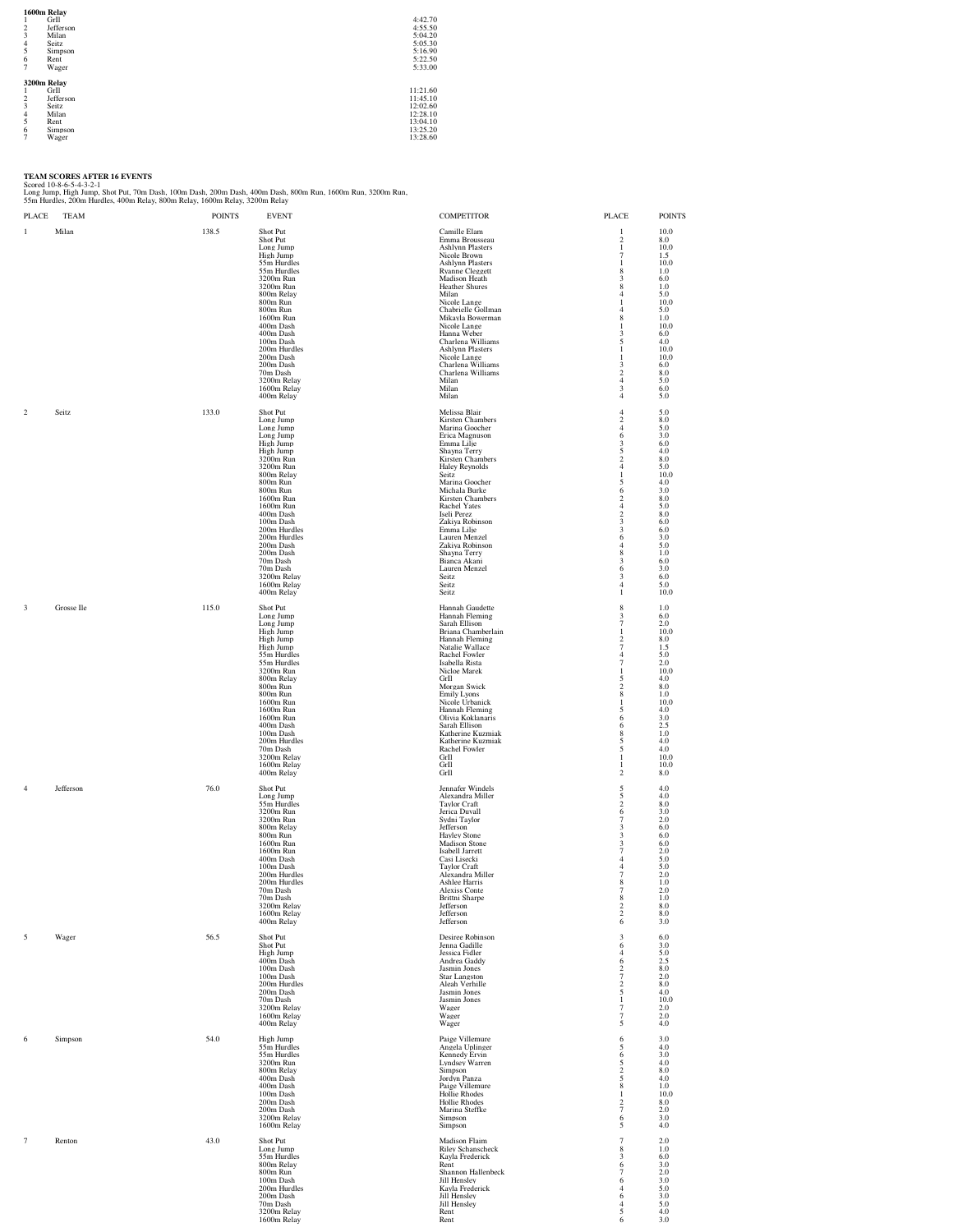**1600m Relay**<br>
1 Gril 4:42.70<br>
2 Jefferson 4:55.50<br>
3 Milan 5:04.20<br>
5:05.30<br>
5:04.20<br>
5:22.50<br>
8 Rent 5:22.50<br>
7 Wager 5:22.50<br>
7 Wager **3200m Relay**<br>
1 GrIl 11:21.60<br>
2 Jefferson 11:45.10<br>
2 Gril 11:45.10<br>
2 Seitz 12:28.60<br>
5 Rent 13:25.20<br>
6 Simpson<br>
7 Wager 13:25.20

TEAM SCORES AFTER 16 EVENTS<br>Scorel 10-8-6-5-4-3-2-1<br>Long Jump, High Jump, Shot Put, 70m Dash, 100m Dash, 200m Dash, 400m Dash, 800m Run, 1600m Run, 3200m Run,<br>55m Hurdles, 200m Hurdles, 400m Relay, 800m Relay, 1600m Relay,

| PLACE          | TEAM       | <b>POINTS</b> | <b>EVENT</b>                                                                                                                                                                                                                                                                                                                | <b>COMPETITOR</b>                                                                                                                                                                                                                                                                                                                                                                                 | PLACE                                                                                                                                                                                                                                                                   | <b>POINTS</b>                                                                                                                                                          |
|----------------|------------|---------------|-----------------------------------------------------------------------------------------------------------------------------------------------------------------------------------------------------------------------------------------------------------------------------------------------------------------------------|---------------------------------------------------------------------------------------------------------------------------------------------------------------------------------------------------------------------------------------------------------------------------------------------------------------------------------------------------------------------------------------------------|-------------------------------------------------------------------------------------------------------------------------------------------------------------------------------------------------------------------------------------------------------------------------|------------------------------------------------------------------------------------------------------------------------------------------------------------------------|
| 1              | Milan      | 138.5         | Shot Put<br>Shot Put<br>Long Jump<br>High Jump<br>55m Hurdles<br>55m Hurdles<br>3200m Run<br>3200m Run<br>800m Relay<br>800m Run<br>800m Run<br>1600m Run<br>400m Dash<br>400m Dash<br>100m Dash<br>200m Hurdles<br>200m Dash<br>200m Dash<br>70m Dash<br>3200m Relay<br>1600m Relay<br>400m Relay                          | Camille Elam<br>Emma Brousseau<br><b>Ashlynn Plasters</b><br>Nicole Brown<br><b>Ashlynn Plasters</b><br><b>Ryanne Cleggett</b><br>Madison Heath<br>Heather Shures<br>Milan<br>Nicole Lange<br>Chabrielle Gollman<br>Mikayla Bowerman<br>Nicole Lange<br>Hanna Weber<br>Charlena Williams<br>Ashlvnn Plasters<br>Nicole Lange<br>Charlena Williams<br>Charlena Williams<br>Milan<br>Milan<br>Milan | $\mathbf{1}$<br>2<br>$\mathbf{1}$<br>$\overline{7}$<br>-1<br>8<br>$\overline{\mathbf{3}}$<br>8<br>$\overline{4}$<br>-1<br>$\overline{4}$<br>8<br>-1<br>3<br>5<br>-1<br>1<br>3<br>$\overline{\mathbf{c}}$<br>$\overline{4}$<br>$\overline{\mathbf{3}}$<br>$\overline{4}$ | 10.0<br>8.0<br>10.0<br>1.5<br>10.0<br>1.0<br>6.0<br>1.0<br>5.0<br>10.0<br>5.0<br>1.0<br>10.0<br>6.0<br>4.0<br>10.0<br>10.0<br>6.0<br>8.0<br>5.0<br>6.0<br>5.0          |
| 2              | Seitz      | 133.0         | Shot Put<br>Long Jump<br>Long Jump<br>Long Jump<br>High Jump<br>High Jump<br>3200m Run<br>3200m Run<br>800m Relay<br>800m Run<br>800m Run<br>1600m Run<br>1600m Run<br>400m Dash<br>100m Dash<br>200m Hurdles<br>200m Hurdles<br>200m Dash<br>200m Dash<br>70m Dash<br>70m Dash<br>3200m Relay<br>1600m Relay<br>400m Relay | Melissa Blair<br>Kirsten Chambers<br>Marina Goocher<br>Erica Magnuson<br>Emma Lilje<br>Shayna Terry<br>Kirsten Chambers<br>Haley Reynolds<br>Seitz<br>Marina Goocher<br>Michala Burke<br>Kirsten Chambers<br>Rachel Yates<br>Iseli Perez<br>Zakiya Robinson<br>Emma Lilje<br>Lauren Menzel<br>Zakiva Robinson<br>Shayna Terry<br>Bianca Akani<br>Lauren Menzel<br>Seitz<br>Seitz<br>Seitz         | $\overline{4}$<br>2<br>$\overline{4}$<br>6<br>3<br>5<br>$\mathcal{D}$<br>$\overline{4}$<br>-1<br>5<br>6<br>$\overline{2}$<br>$\overline{4}$<br>$\,2\,$<br>3<br>3<br>6<br>$\overline{4}$<br>8<br>3<br>6<br>3<br>$\overline{4}$<br>1                                      | 5.0<br>8.0<br>5.0<br>3.0<br>6.0<br>4.0<br>8.0<br>5.0<br>10.0<br>4.0<br>3.0<br>8.0<br>5.0<br>8.0<br>6.0<br>6.0<br>3.0<br>5.0<br>1.0<br>6.0<br>3.0<br>6.0<br>5.0<br>10.0 |
| 3              | Grosse Ile | 115.0         | Shot Put<br>Long Jump<br>Long Jump<br>High Jump<br>High Jump<br>High Jump<br>55m Hurdles<br>55m Hurdles<br>3200m Run<br>800m Relay<br>800m Run<br>800m Run<br>1600m Run<br>1600m Run<br>1600m Run<br>400m Dash<br>100m Dash<br>200m Hurdles<br>70m Dash<br>3200m Relay<br>1600m Relay<br>400m Relay                         | Hannah Gaudette<br>Hannah Fleming<br>Sarah Ellison<br>Briana Chamberlain<br>Hannah Fleming<br>Natalie Wallace<br>Rachel Fowler<br>Isabella Rista<br>Nicloe Marek<br>GrII<br>Morgan Swick<br><b>Emily Lyons</b><br>Nicole Urbanick<br>Hannah Fleming<br>Olivia Koklanaris<br>Sarah Ellison<br>Katherine Kuzmiak<br>Katherine Kuzmiak<br>Rachel Fowler<br>GrIl<br>GrIl<br>GrIl                      | 8<br>3<br>$\tau$<br>-1<br>$\overline{\mathbf{c}}$<br>$\overline{7}$<br>$\overline{4}$<br>$\overline{7}$<br>-1<br>5<br>$\overline{2}$<br>$\,$ 8 $\,$<br>1<br>5<br>6<br>6<br>8<br>5<br>5<br>$\mathbf{1}$<br>-1<br>$\overline{\mathbf{c}}$                                 | 1.0<br>6.0<br>2.0<br>10.0<br>8.0<br>1.5<br>5.0<br>2.0<br>10.0<br>4.0<br>8.0<br>1.0<br>10.0<br>4.0<br>3.0<br>2.5<br>1.0<br>4.0<br>4.0<br>10.0<br>10.0<br>8.0            |
| $\overline{4}$ | Jefferson  | 76.0          | Shot Put<br>Long Jump<br>55m Hurdles<br>3200m Run<br>3200m Run<br>800m Relay<br>800m Run<br>1600m Run<br>1600m Run<br>400m Dash<br>100m Dash<br>200m Hurdles<br>200m Hurdles<br>70m Dash<br>70m Dash<br>3200m Relay<br>1600m Relay<br>400m Relay                                                                            | Jennafer Windels<br>Alexandra Miller<br>Taylor Craft<br>Jerica Duvall<br>Sydni Taylor<br>Jefferson<br><b>Hayley Stone</b><br><b>Madison Stone</b><br>Isabell Jarrett<br>Casi Lisecki<br><b>Taylor Craft</b><br>Alexandra Miller<br>Ashlee Harris<br>Alexiss Conte<br>Brittni Sharpe<br>Jetterson<br>Jefferson<br>Jefferson                                                                        | 5<br>$\frac{5}{2}$<br>6<br>$\tau$<br>3<br>3<br>3<br>$\boldsymbol{7}$<br>$\overline{4}$<br>$\overline{4}$<br>7<br>8<br>7<br>8<br>2<br>$\,2\,$<br>6                                                                                                                       | 4.0<br>4.0<br>8.0<br>3.0<br>2.0<br>6.0<br>6.0<br>6.0<br>2.0<br>5.0<br>5.0<br>2.0<br>1.0<br>2.0<br>1.0<br>8.0<br>8.0<br>3.0                                             |
| 5              | Wager      | 56.5          | Shot Put<br>Shot Put<br>High Jump<br>400m Dash<br>100m Dash<br>100m Dash<br>200m Hurdles<br>200m Dash<br>70m Dash<br>3200m Relay<br>1600m Relay<br>400m Relay                                                                                                                                                               | Desiree Robinson<br>Jenna Gadille<br>Jessica Fidler<br>Andrea Gaddy<br>Jasmin Jones<br>Star Langston<br>Aleah Verhille<br>Jasmin Jones<br>Jasmin Jones<br>Wager<br>Wager<br>Wager                                                                                                                                                                                                                 | 3<br>6<br>$\overline{4}$<br>6<br>$\overline{\mathbf{c}}$<br>$\tau$<br>$\overline{\mathbf{c}}$<br>5<br>$\mathbf{1}$<br>$\overline{7}$<br>$\tau$<br>5                                                                                                                     | 6.0<br>3.0<br>5.0<br>2.5<br>8.0<br>2.0<br>8.0<br>4.0<br>10.0<br>2.0<br>2.0<br>4.0                                                                                      |
| 6              | Simpson    | 54.0          | High Jump<br>55m Hurdles<br>55m Hurdles<br>3200m Run<br>800m Relay<br>400m Dash<br>400m Dash<br>100m Dash<br>200m Dash<br>200m Dash<br>3200m Relay<br>1600m Relay                                                                                                                                                           | Paige Villemure<br>Angela Uplinger<br>Kennedy Ervin<br>Lyndsey Warren<br>Simpson<br>Jordyn Panza<br>Paige Villemure<br>Hollie Rhodes<br>Hollie Rhodes<br>Marina Steffke<br>Simpson<br>Simpson                                                                                                                                                                                                     | 6<br>5<br>6<br>5<br>$\overline{\mathbf{c}}$<br>5<br>$\,$ 8 $\,$<br>1<br>$\overline{\mathbf{c}}$<br>$\overline{7}$<br>6<br>5                                                                                                                                             | 3.0<br>4.0<br>3.0<br>4.0<br>8.0<br>4.0<br>1.0<br>10.0<br>8.0<br>$2.0\,$<br>3.0<br>4.0                                                                                  |
| 7              | Renton     | 43.0          | Shot Put<br>Long Jump<br>55m Hurdles<br>800m Relay<br>800m Run<br>100m Dash<br>200m Hurdles<br>200m Dash<br>70m Dash<br>3200m Relay<br>1600m Relay                                                                                                                                                                          | Madison Flaim<br><b>Riley Schanscheck</b><br>Kayla Frederick<br>Rent<br>Shannon Hallenbeck<br>Jill Hensley<br>Kayla Frederick<br>Jill Hensley<br>Jill Hensley<br>Rent<br>Rent                                                                                                                                                                                                                     | $\tau$<br>8<br>3<br>6<br>$\overline{7}$<br>6<br>$\overline{4}$<br>6<br>$\overline{4}$<br>5<br>6                                                                                                                                                                         | 2.0<br>1.0<br>6.0<br>3.0<br>2.0<br>3.0<br>5.0<br>3.0<br>5.0<br>4.0<br>3.0                                                                                              |